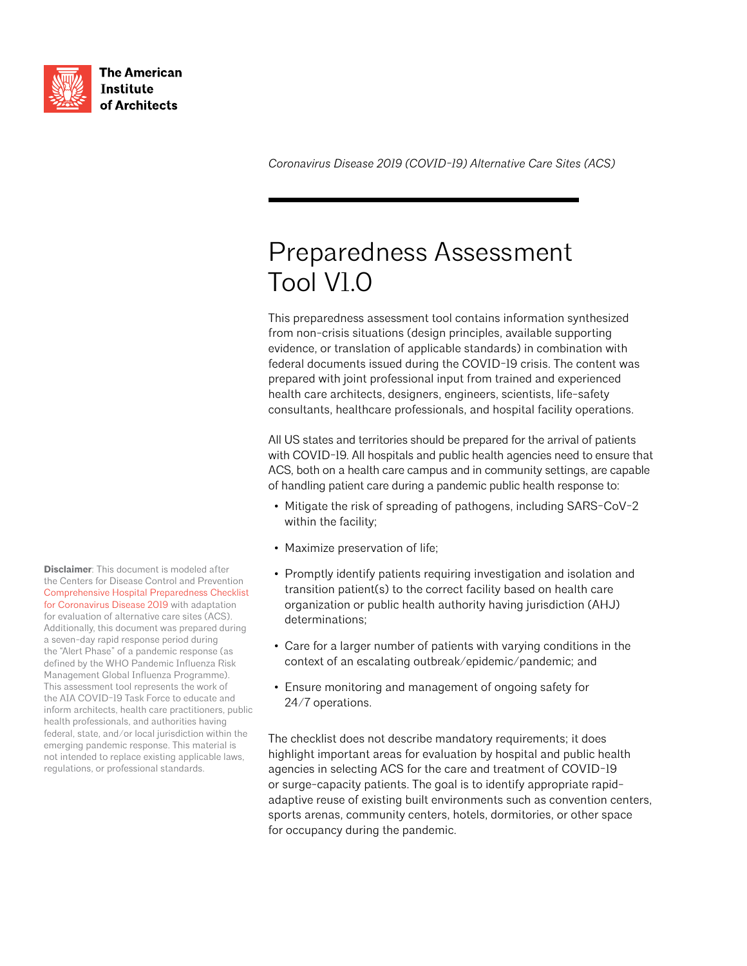

**The American Institute** of Architects

*Coronavirus Disease 2019 (COVID-19) Alternative Care Sites (ACS)*

# Preparedness Assessment Tool V1.0

This preparedness assessment tool contains information synthesized from non-crisis situations (design principles, available supporting evidence, or translation of applicable standards) in combination with federal documents issued during the COVID-19 crisis. The content was prepared with joint professional input from trained and experienced health care architects, designers, engineers, scientists, life-safety consultants, healthcare professionals, and hospital facility operations.

All US states and territories should be prepared for the arrival of patients with COVID-19. All hospitals and public health agencies need to ensure that ACS, both on a health care campus and in community settings, are capable of handling patient care during a pandemic public health response to:

- Mitigate the risk of spreading of pathogens, including SARS-CoV-2 within the facility;
- Maximize preservation of life;
- Promptly identify patients requiring investigation and isolation and transition patient(s) to the correct facility based on health care organization or public health authority having jurisdiction (AHJ) determinations;
- Care for a larger number of patients with varying conditions in the context of an escalating outbreak/epidemic/pandemic; and
- Ensure monitoring and management of ongoing safety for 24/7 operations.

The checklist does not describe mandatory requirements; it does highlight important areas for evaluation by hospital and public health agencies in selecting ACS for the care and treatment of COVID-19 or surge-capacity patients. The goal is to identify appropriate rapidadaptive reuse of existing built environments such as convention centers, sports arenas, community centers, hotels, dormitories, or other space for occupancy during the pandemic.

**Disclaimer**: This document is modeled after the Centers for Disease Control and Prevention [Comprehensive Hospital Preparedness Checklist](https://www.cdc.gov/coronavirus/2019-ncov/downloads/HCW_Checklist_508.pdf)  [for Coronavirus Disease 2019](https://www.cdc.gov/coronavirus/2019-ncov/downloads/HCW_Checklist_508.pdf) with adaptation for evaluation of alternative care sites (ACS). Additionally, this document was prepared during a seven-day rapid response period during the "Alert Phase" of a pandemic response (as defined by the WHO Pandemic Influenza Risk Management Global Influenza Programme). This assessment tool represents the work of the AIA COVID-19 Task Force to educate and inform architects, health care practitioners, public health professionals, and authorities having federal, state, and/or local jurisdiction within the emerging pandemic response. This material is not intended to replace existing applicable laws, regulations, or professional standards.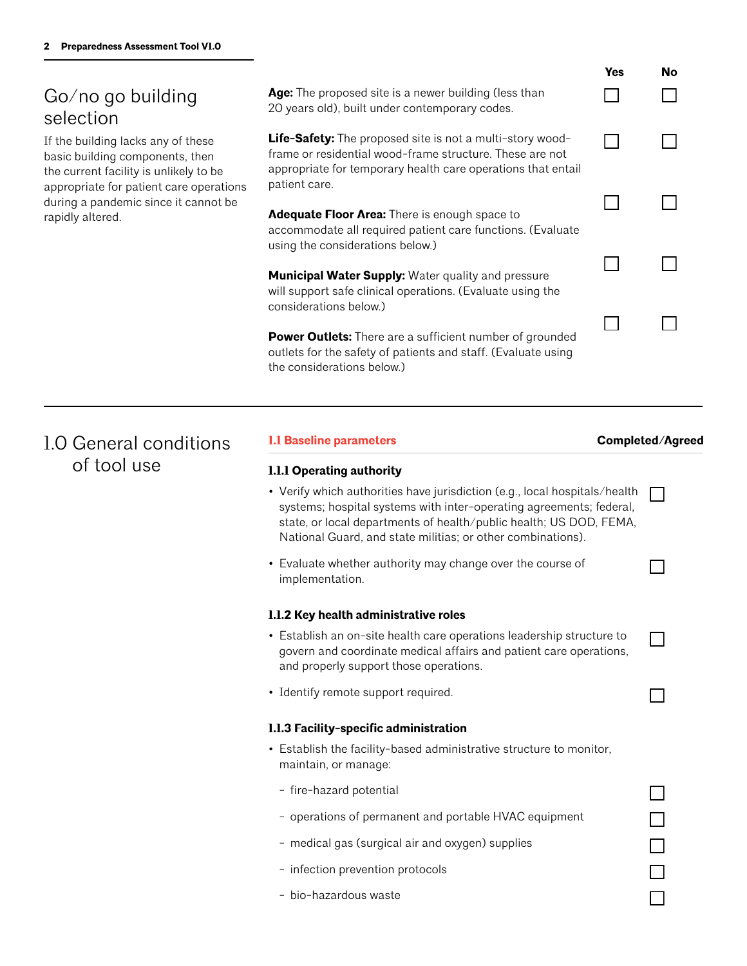# Go/no go building selection

If the building lacks any of these basic building components, then the current facility is unlikely to be appropriate for patient care operations during a pandemic since it cannot be rapidly altered.

|                                                                                                                                                                                              | Yes | No |
|----------------------------------------------------------------------------------------------------------------------------------------------------------------------------------------------|-----|----|
| Age: The proposed site is a newer building (less than<br>20 years old), built under contemporary codes.                                                                                      |     |    |
| <b>Life-Safety:</b> The proposed site is not a multi-story wood-<br>frame or residential wood-frame structure. These are not<br>appropriate for temporary health care operations that entail |     |    |
| patient care.<br><b>Adequate Floor Area:</b> There is enough space to<br>accommodate all required patient care functions. (Evaluate<br>using the considerations below.)                      |     |    |
| <b>Municipal Water Supply:</b> Water quality and pressure<br>will support safe clinical operations. (Evaluate using the<br>considerations below.)                                            |     |    |

**Power Outlets:** There are a sufficient number of grounded outlets for the safety of patients and staff. (Evaluate using the considerations below.)

# 1.0 General conditions of tool use

# **1.1 Baseline parameters**

### **Completed/Agreed**

 $\mathbf{I}$ 

П

 $\overline{\phantom{a}}$ 

П

 $\Box$ 

 $\Box$ 

 $\Box$ 

П

# **1.1.1 Operating authority**

- Verify which authorities have jurisdiction (e.g., local hospitals/health systems; hospital systems with inter-operating agreements; federal, state, or local departments of health/public health; US DOD, FEMA, National Guard, and state militias; or other combinations).
- Evaluate whether authority may change over the course of implementation.

### **1.1.2 Key health administrative roles**

- Establish an on-site health care operations leadership structure to govern and coordinate medical affairs and patient care operations, and properly support those operations.
- Identify remote support required.

### **1.1.3 Facility-specific administration**

- Establish the facility-based administrative structure to monitor, maintain, or manage:
- fire-hazard potential
- operations of permanent and portable HVAC equipment
- medical gas (surgical air and oxygen) supplies
- infection prevention protocols
- bio-hazardous waste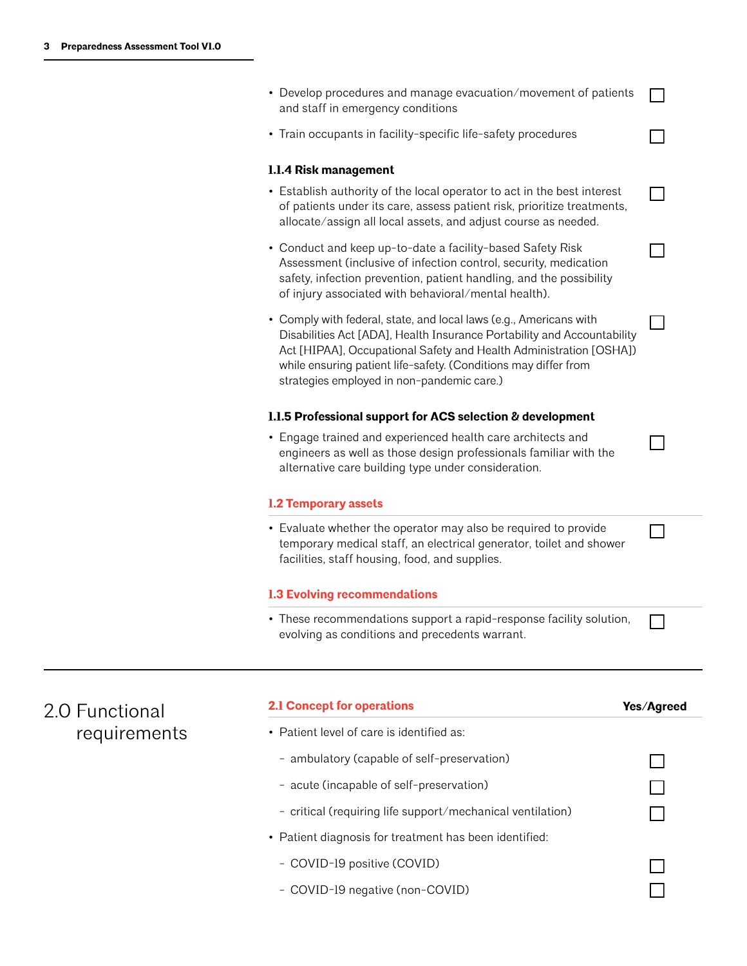2.0 Functional

requirements

| • Develop procedures and manage evacuation/movement of patients<br>and staff in emergency conditions                                                                                                                                                                                                                                 |            |
|--------------------------------------------------------------------------------------------------------------------------------------------------------------------------------------------------------------------------------------------------------------------------------------------------------------------------------------|------------|
| • Train occupants in facility-specific life-safety procedures                                                                                                                                                                                                                                                                        |            |
| 1.1.4 Risk management                                                                                                                                                                                                                                                                                                                |            |
| • Establish authority of the local operator to act in the best interest<br>of patients under its care, assess patient risk, prioritize treatments,<br>allocate/assign all local assets, and adjust course as needed.                                                                                                                 |            |
| • Conduct and keep up-to-date a facility-based Safety Risk<br>Assessment (inclusive of infection control, security, medication<br>safety, infection prevention, patient handling, and the possibility<br>of injury associated with behavioral/mental health).                                                                        |            |
| • Comply with federal, state, and local laws (e.g., Americans with<br>Disabilities Act [ADA], Health Insurance Portability and Accountability<br>Act [HIPAA], Occupational Safety and Health Administration [OSHA])<br>while ensuring patient life-safety. (Conditions may differ from<br>strategies employed in non-pandemic care.) |            |
| 1.1.5 Professional support for ACS selection & development                                                                                                                                                                                                                                                                           |            |
| • Engage trained and experienced health care architects and<br>engineers as well as those design professionals familiar with the<br>alternative care building type under consideration.                                                                                                                                              |            |
| <b>1.2 Temporary assets</b>                                                                                                                                                                                                                                                                                                          |            |
| • Evaluate whether the operator may also be required to provide<br>temporary medical staff, an electrical generator, toilet and shower<br>facilities, staff housing, food, and supplies.                                                                                                                                             |            |
| <b>1.3 Evolving recommendations</b>                                                                                                                                                                                                                                                                                                  |            |
| • These recommendations support a rapid-response facility solution,<br>evolving as conditions and precedents warrant.                                                                                                                                                                                                                |            |
| <b>2.1 Concept for operations</b>                                                                                                                                                                                                                                                                                                    |            |
| • Patient level of care is identified as:                                                                                                                                                                                                                                                                                            | Yes/Agreed |
|                                                                                                                                                                                                                                                                                                                                      |            |
| - ambulatory (capable of self-preservation)                                                                                                                                                                                                                                                                                          |            |
| - acute (incapable of self-preservation)                                                                                                                                                                                                                                                                                             |            |
| - critical (requiring life support/mechanical ventilation)                                                                                                                                                                                                                                                                           |            |
| • Patient diagnosis for treatment has been identified:                                                                                                                                                                                                                                                                               |            |
| - COVID-19 positive (COVID)                                                                                                                                                                                                                                                                                                          |            |
| - COVID-19 negative (non-COVID)                                                                                                                                                                                                                                                                                                      |            |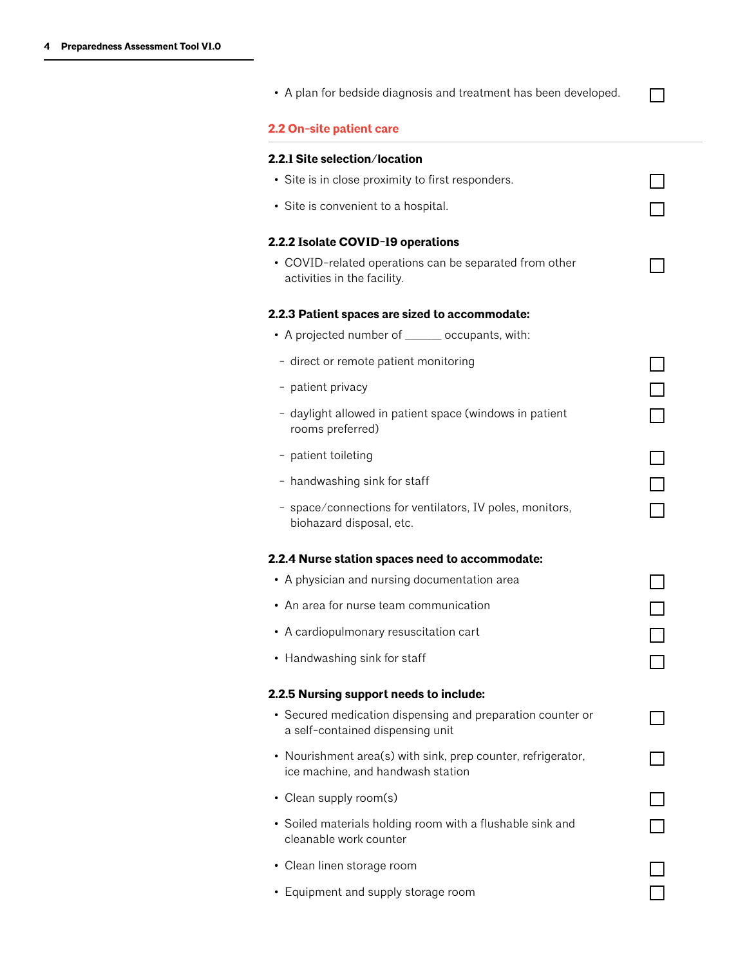| • A plan for bedside diagnosis and treatment has been developed.                                  |        |
|---------------------------------------------------------------------------------------------------|--------|
| 2.2 On-site patient care                                                                          |        |
| 2.2.1 Site selection/location                                                                     |        |
| • Site is in close proximity to first responders.                                                 |        |
| • Site is convenient to a hospital.                                                               |        |
| 2.2.2 Isolate COVID-19 operations                                                                 |        |
| • COVID-related operations can be separated from other<br>activities in the facility.             |        |
| 2.2.3 Patient spaces are sized to accommodate:                                                    |        |
| • A projected number of ______ occupants, with:                                                   |        |
| - direct or remote patient monitoring                                                             |        |
| - patient privacy                                                                                 |        |
| - daylight allowed in patient space (windows in patient<br>rooms preferred)                       | $\Box$ |
| - patient toileting                                                                               | $\Box$ |
| - handwashing sink for staff                                                                      |        |
| - space/connections for ventilators, IV poles, monitors,<br>biohazard disposal, etc.              |        |
| 2.2.4 Nurse station spaces need to accommodate:                                                   |        |
| • A physician and nursing documentation area                                                      |        |
| • An area for nurse team communication                                                            |        |
| • A cardiopulmonary resuscitation cart                                                            |        |
| • Handwashing sink for staff                                                                      |        |
| 2.2.5 Nursing support needs to include:                                                           |        |
| • Secured medication dispensing and preparation counter or<br>a self-contained dispensing unit    |        |
| • Nourishment area(s) with sink, prep counter, refrigerator,<br>ice machine, and handwash station |        |
| • Clean supply room(s)                                                                            |        |
| • Soiled materials holding room with a flushable sink and<br>cleanable work counter               |        |
| • Clean linen storage room                                                                        |        |
| • Equipment and supply storage room                                                               |        |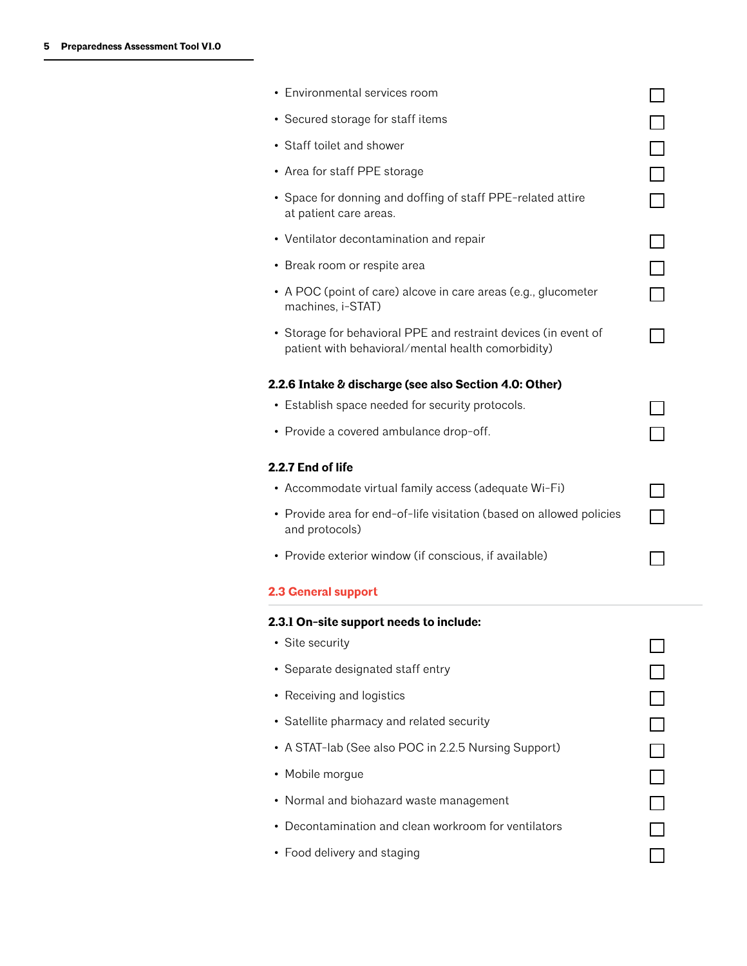| • Environmental services room                                                                                         |        |
|-----------------------------------------------------------------------------------------------------------------------|--------|
| • Secured storage for staff items                                                                                     |        |
| • Staff toilet and shower                                                                                             | $\Box$ |
| • Area for staff PPE storage                                                                                          |        |
| • Space for donning and doffing of staff PPE-related attire<br>at patient care areas.                                 |        |
| • Ventilator decontamination and repair                                                                               |        |
| • Break room or respite area                                                                                          |        |
| • A POC (point of care) alcove in care areas (e.g., glucometer<br>machines, i-STAT)                                   |        |
| • Storage for behavioral PPE and restraint devices (in event of<br>patient with behavioral/mental health comorbidity) |        |
| 2.2.6 Intake & discharge (see also Section 4.0: Other)                                                                |        |
| • Establish space needed for security protocols.                                                                      |        |
| • Provide a covered ambulance drop-off.                                                                               |        |
| 2.2.7 End of life                                                                                                     |        |
| • Accommodate virtual family access (adequate Wi-Fi)                                                                  |        |
| • Provide area for end-of-life visitation (based on allowed policies<br>and protocols)                                |        |
| • Provide exterior window (if conscious, if available)                                                                |        |
| 2.3 General support                                                                                                   |        |
| 2.3.1 On-site support needs to include:                                                                               |        |
| • Site security                                                                                                       |        |
|                                                                                                                       |        |
| • Separate designated staff entry                                                                                     |        |
| • Receiving and logistics                                                                                             |        |
| • Satellite pharmacy and related security                                                                             |        |
| • A STAT-lab (See also POC in 2.2.5 Nursing Support)                                                                  | $\Box$ |
| • Mobile morgue                                                                                                       |        |
| • Normal and biohazard waste management                                                                               |        |
| • Decontamination and clean workroom for ventilators                                                                  |        |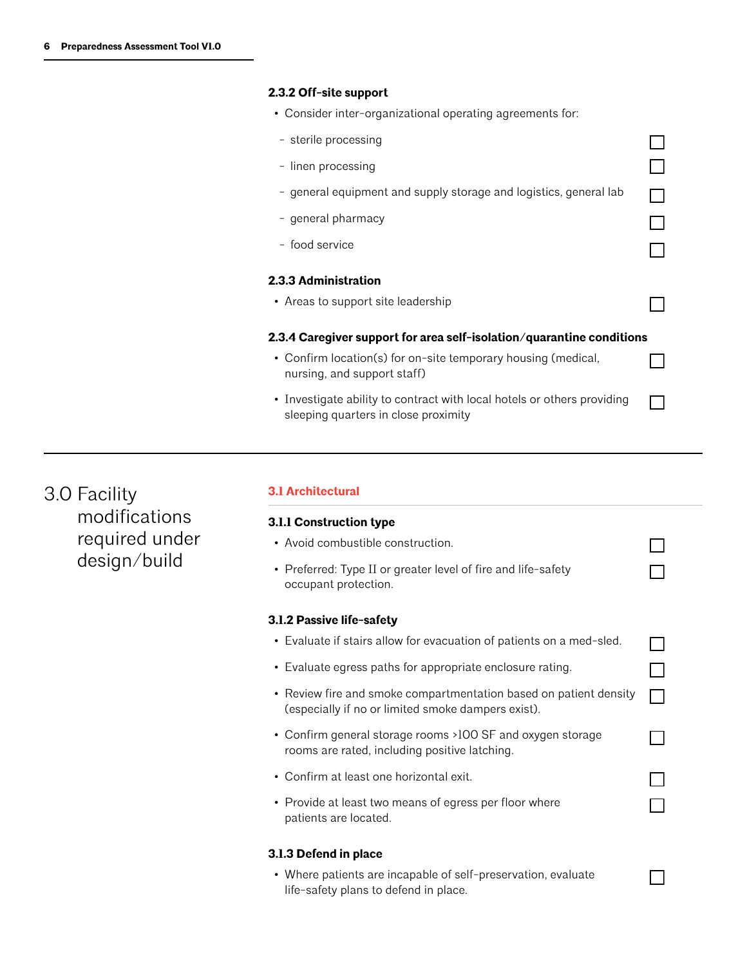# **2.3.2 Off-site support**

• Consider inter-organizational operating agreements for:

| - sterile processing                                                                                            |  |  |  |
|-----------------------------------------------------------------------------------------------------------------|--|--|--|
| - linen processing                                                                                              |  |  |  |
| - general equipment and supply storage and logistics, general lab                                               |  |  |  |
| - general pharmacy                                                                                              |  |  |  |
| - food service                                                                                                  |  |  |  |
| 2.3.3 Administration                                                                                            |  |  |  |
| • Areas to support site leadership                                                                              |  |  |  |
| 2.3.4 Caregiver support for area self-isolation/quarantine conditions                                           |  |  |  |
| • Confirm location(s) for on-site temporary housing (medical,<br>nursing, and support staff)                    |  |  |  |
| • Investigate ability to contract with local hotels or others providing<br>sleeping quarters in close proximity |  |  |  |
|                                                                                                                 |  |  |  |

3.0 Facility modifications required under design/build

### **3.1 Architectural**

| 3.1.1 Construction type                                                                                                 |  |
|-------------------------------------------------------------------------------------------------------------------------|--|
| • Avoid combustible construction.                                                                                       |  |
| • Preferred: Type II or greater level of fire and life-safety<br>occupant protection.                                   |  |
| 3.1.2 Passive life-safety                                                                                               |  |
| • Evaluate if stairs allow for evacuation of patients on a med-sled.                                                    |  |
| • Evaluate egress paths for appropriate enclosure rating.                                                               |  |
| • Review fire and smoke compartmentation based on patient density<br>(especially if no or limited smoke dampers exist). |  |
| • Confirm general storage rooms >100 SF and oxygen storage<br>rooms are rated, including positive latching.             |  |
| Confirm at least one horizontal exit.                                                                                   |  |
| • Provide at least two means of egress per floor where<br>patients are located.                                         |  |
| 3.1.3 Defend in place                                                                                                   |  |

• Where patients are incapable of self-preservation, evaluate life-safety plans to defend in place.

 $\Box$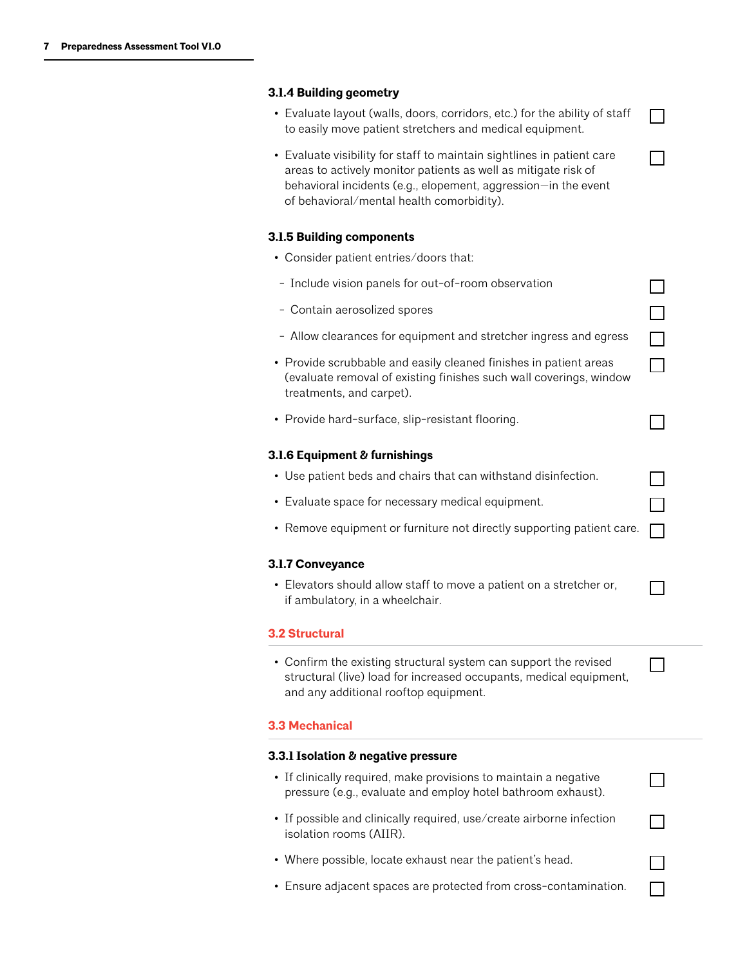# **3.1.4 Building geometry**

| • Evaluate layout (walls, doors, corridors, etc.) for the ability of staff<br>to easily move patient stretchers and medical equipment.                                                                                                                  |        |
|---------------------------------------------------------------------------------------------------------------------------------------------------------------------------------------------------------------------------------------------------------|--------|
| • Evaluate visibility for staff to maintain sightlines in patient care<br>areas to actively monitor patients as well as mitigate risk of<br>behavioral incidents (e.g., elopement, aggression-in the event<br>of behavioral/mental health comorbidity). |        |
| 3.1.5 Building components                                                                                                                                                                                                                               |        |
| • Consider patient entries/doors that:                                                                                                                                                                                                                  |        |
| - Include vision panels for out-of-room observation                                                                                                                                                                                                     |        |
| - Contain aerosolized spores                                                                                                                                                                                                                            |        |
| - Allow clearances for equipment and stretcher ingress and egress                                                                                                                                                                                       | $\Box$ |
| • Provide scrubbable and easily cleaned finishes in patient areas<br>(evaluate removal of existing finishes such wall coverings, window<br>treatments, and carpet).                                                                                     | $\Box$ |
| • Provide hard-surface, slip-resistant flooring.                                                                                                                                                                                                        |        |
| 3.1.6 Equipment & furnishings                                                                                                                                                                                                                           |        |
| • Use patient beds and chairs that can withstand disinfection.                                                                                                                                                                                          |        |
| • Evaluate space for necessary medical equipment.                                                                                                                                                                                                       |        |
| • Remove equipment or furniture not directly supporting patient care.                                                                                                                                                                                   | П      |
| 3.1.7 Conveyance                                                                                                                                                                                                                                        |        |
| • Elevators should allow staff to move a patient on a stretcher or,<br>if ambulatory, in a wheelchair.                                                                                                                                                  |        |
| <b>3.2 Structural</b>                                                                                                                                                                                                                                   |        |
| • Confirm the existing structural system can support the revised<br>structural (live) load for increased occupants, medical equipment,<br>and any additional rooftop equipment.                                                                         |        |
| <b>3.3 Mechanical</b>                                                                                                                                                                                                                                   |        |
| 3.3.1 Isolation & negative pressure                                                                                                                                                                                                                     |        |
| • If clinically required, make provisions to maintain a negative<br>pressure (e.g., evaluate and employ hotel bathroom exhaust).                                                                                                                        |        |
| • If possible and clinically required, use/create airborne infection<br>isolation rooms (AIIR).                                                                                                                                                         |        |
| • Where possible, locate exhaust near the patient's head.                                                                                                                                                                                               |        |
| • Ensure adjacent spaces are protected from cross-contamination.                                                                                                                                                                                        |        |
|                                                                                                                                                                                                                                                         |        |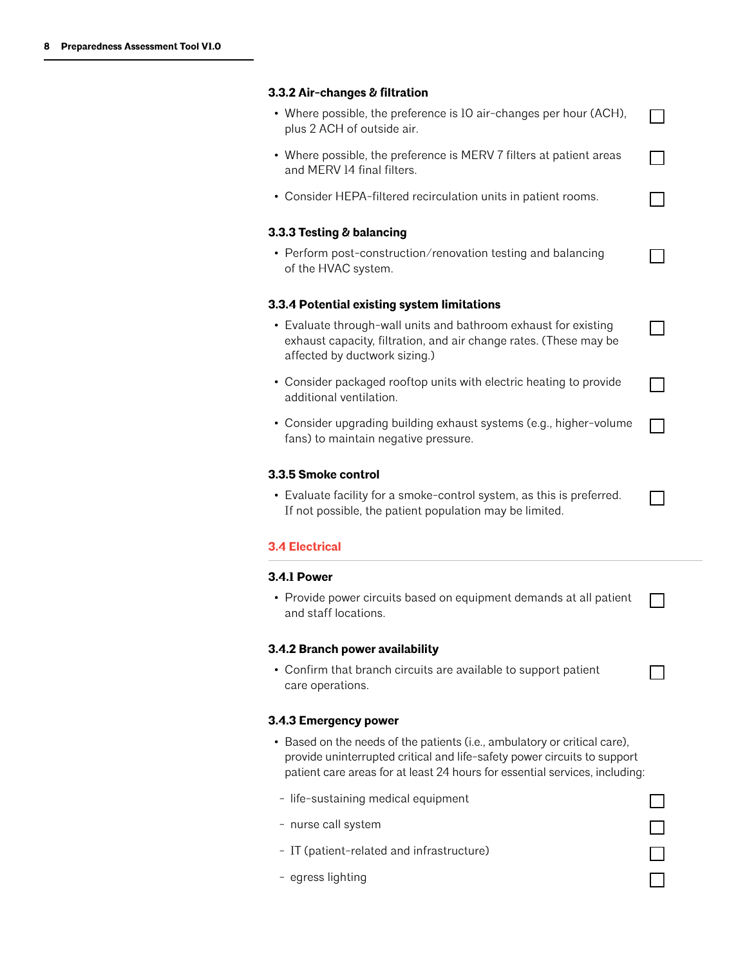# **3.3.2 Air-changes & filtration**

| • Where possible, the preference is 10 air-changes per hour (ACH),<br>plus 2 ACH of outside air.                                                                                                                                     |  |
|--------------------------------------------------------------------------------------------------------------------------------------------------------------------------------------------------------------------------------------|--|
| • Where possible, the preference is MERV 7 filters at patient areas<br>and MERV 14 final filters.                                                                                                                                    |  |
| • Consider HEPA-filtered recirculation units in patient rooms.                                                                                                                                                                       |  |
| 3.3.3 Testing & balancing                                                                                                                                                                                                            |  |
| • Perform post-construction/renovation testing and balancing<br>of the HVAC system.                                                                                                                                                  |  |
| 3.3.4 Potential existing system limitations                                                                                                                                                                                          |  |
| • Evaluate through-wall units and bathroom exhaust for existing<br>exhaust capacity, filtration, and air change rates. (These may be<br>affected by ductwork sizing.)                                                                |  |
| • Consider packaged rooftop units with electric heating to provide<br>additional ventilation.                                                                                                                                        |  |
| • Consider upgrading building exhaust systems (e.g., higher-volume<br>fans) to maintain negative pressure.                                                                                                                           |  |
| 3.3.5 Smoke control                                                                                                                                                                                                                  |  |
| • Evaluate facility for a smoke-control system, as this is preferred.<br>If not possible, the patient population may be limited.                                                                                                     |  |
| <b>3.4 Electrical</b>                                                                                                                                                                                                                |  |
| 3.4.1 Power                                                                                                                                                                                                                          |  |
| • Provide power circuits based on equipment demands at all patient<br>and staff locations.                                                                                                                                           |  |
| 3.4.2 Branch power availability                                                                                                                                                                                                      |  |
| • Confirm that branch circuits are available to support patient<br>care operations.                                                                                                                                                  |  |
|                                                                                                                                                                                                                                      |  |
| 3.4.3 Emergency power                                                                                                                                                                                                                |  |
| • Based on the needs of the patients (i.e., ambulatory or critical care),<br>provide uninterrupted critical and life-safety power circuits to support<br>patient care areas for at least 24 hours for essential services, including: |  |
| - life-sustaining medical equipment                                                                                                                                                                                                  |  |
| - nurse call system                                                                                                                                                                                                                  |  |
| - IT (patient-related and infrastructure)                                                                                                                                                                                            |  |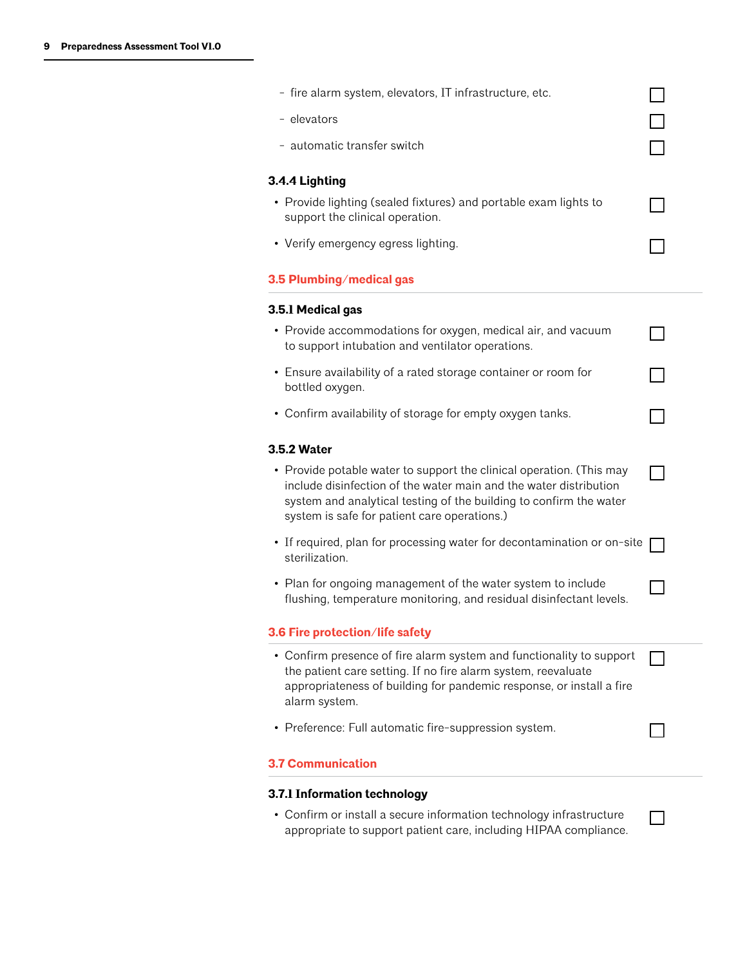| - fire alarm system, elevators, IT infrastructure, etc.                                                                                                                                                                                                         |  |
|-----------------------------------------------------------------------------------------------------------------------------------------------------------------------------------------------------------------------------------------------------------------|--|
| - elevators                                                                                                                                                                                                                                                     |  |
| - automatic transfer switch                                                                                                                                                                                                                                     |  |
| 3.4.4 Lighting                                                                                                                                                                                                                                                  |  |
| • Provide lighting (sealed fixtures) and portable exam lights to<br>support the clinical operation.                                                                                                                                                             |  |
| • Verify emergency egress lighting.                                                                                                                                                                                                                             |  |
| 3.5 Plumbing/medical gas                                                                                                                                                                                                                                        |  |
| 3.5.1 Medical gas                                                                                                                                                                                                                                               |  |
| • Provide accommodations for oxygen, medical air, and vacuum<br>to support intubation and ventilator operations.                                                                                                                                                |  |
| • Ensure availability of a rated storage container or room for<br>bottled oxygen.                                                                                                                                                                               |  |
| • Confirm availability of storage for empty oxygen tanks.                                                                                                                                                                                                       |  |
| <b>3.5.2 Water</b>                                                                                                                                                                                                                                              |  |
| • Provide potable water to support the clinical operation. (This may<br>include disinfection of the water main and the water distribution<br>system and analytical testing of the building to confirm the water<br>system is safe for patient care operations.) |  |
| • If required, plan for processing water for decontamination or on-site<br>sterilization.                                                                                                                                                                       |  |
| • Plan for ongoing management of the water system to include<br>flushing, temperature monitoring, and residual disinfectant levels.                                                                                                                             |  |
| 3.6 Fire protection/life safety                                                                                                                                                                                                                                 |  |
| • Confirm presence of fire alarm system and functionality to support<br>the patient care setting. If no fire alarm system, reevaluate<br>appropriateness of building for pandemic response, or install a fire<br>alarm system.                                  |  |
| • Preference: Full automatic fire-suppression system.                                                                                                                                                                                                           |  |
| <b>3.7 Communication</b>                                                                                                                                                                                                                                        |  |
| 3.7.1 Information technology                                                                                                                                                                                                                                    |  |
| • Confirm or install a secure information technology infrastructure<br>appropriate to support patient care, including HIPAA compliance.                                                                                                                         |  |